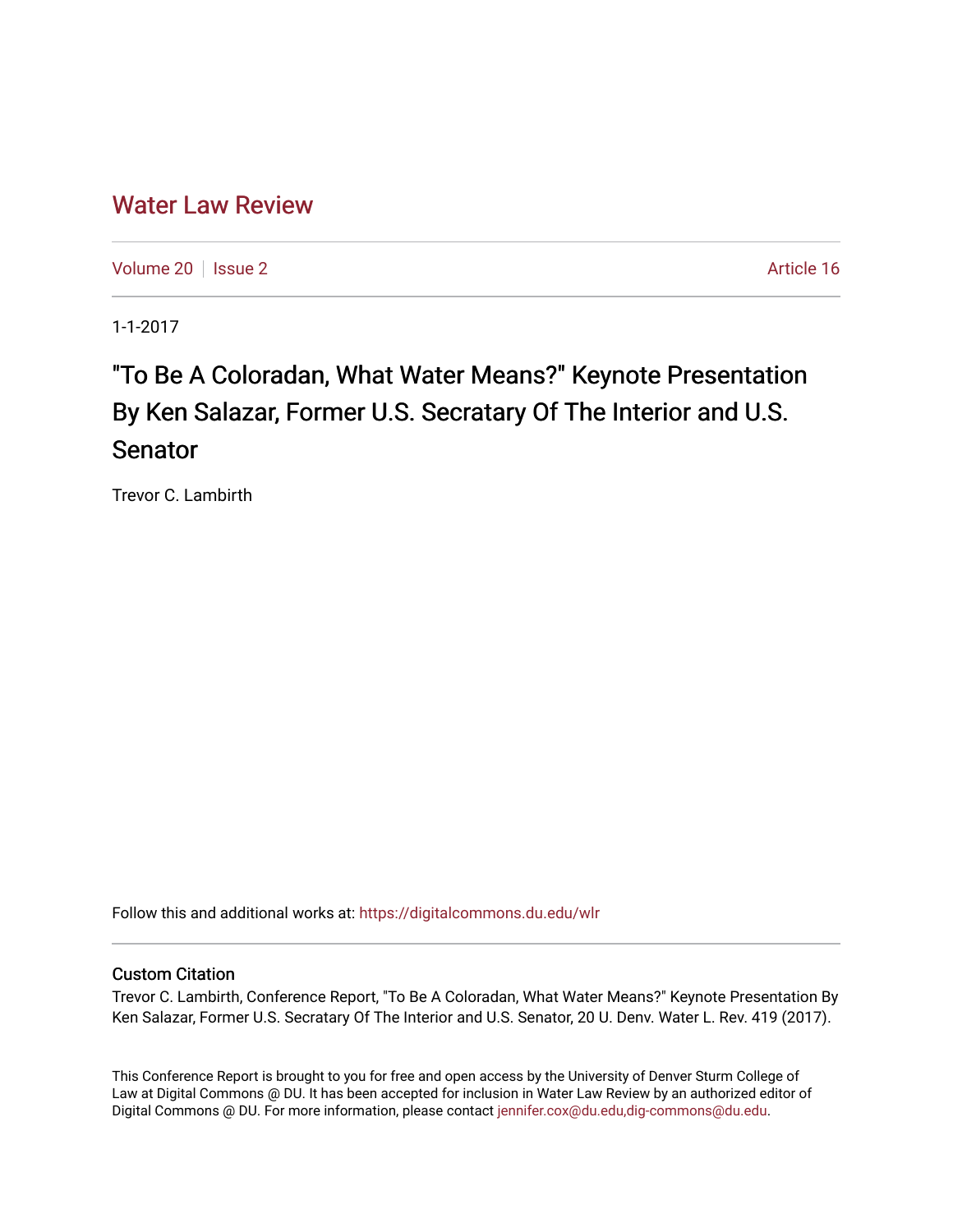# [Water Law Review](https://digitalcommons.du.edu/wlr)

[Volume 20](https://digitalcommons.du.edu/wlr/vol20) | [Issue 2](https://digitalcommons.du.edu/wlr/vol20/iss2) Article 16

1-1-2017

# "To Be A Coloradan, What Water Means?" Keynote Presentation By Ken Salazar, Former U.S. Secratary Of The Interior and U.S. Senator

Trevor C. Lambirth

Follow this and additional works at: [https://digitalcommons.du.edu/wlr](https://digitalcommons.du.edu/wlr?utm_source=digitalcommons.du.edu%2Fwlr%2Fvol20%2Fiss2%2F16&utm_medium=PDF&utm_campaign=PDFCoverPages) 

## Custom Citation

Trevor C. Lambirth, Conference Report, "To Be A Coloradan, What Water Means?" Keynote Presentation By Ken Salazar, Former U.S. Secratary Of The Interior and U.S. Senator, 20 U. Denv. Water L. Rev. 419 (2017).

This Conference Report is brought to you for free and open access by the University of Denver Sturm College of Law at Digital Commons @ DU. It has been accepted for inclusion in Water Law Review by an authorized editor of Digital Commons @ DU. For more information, please contact [jennifer.cox@du.edu,dig-commons@du.edu](mailto:jennifer.cox@du.edu,dig-commons@du.edu).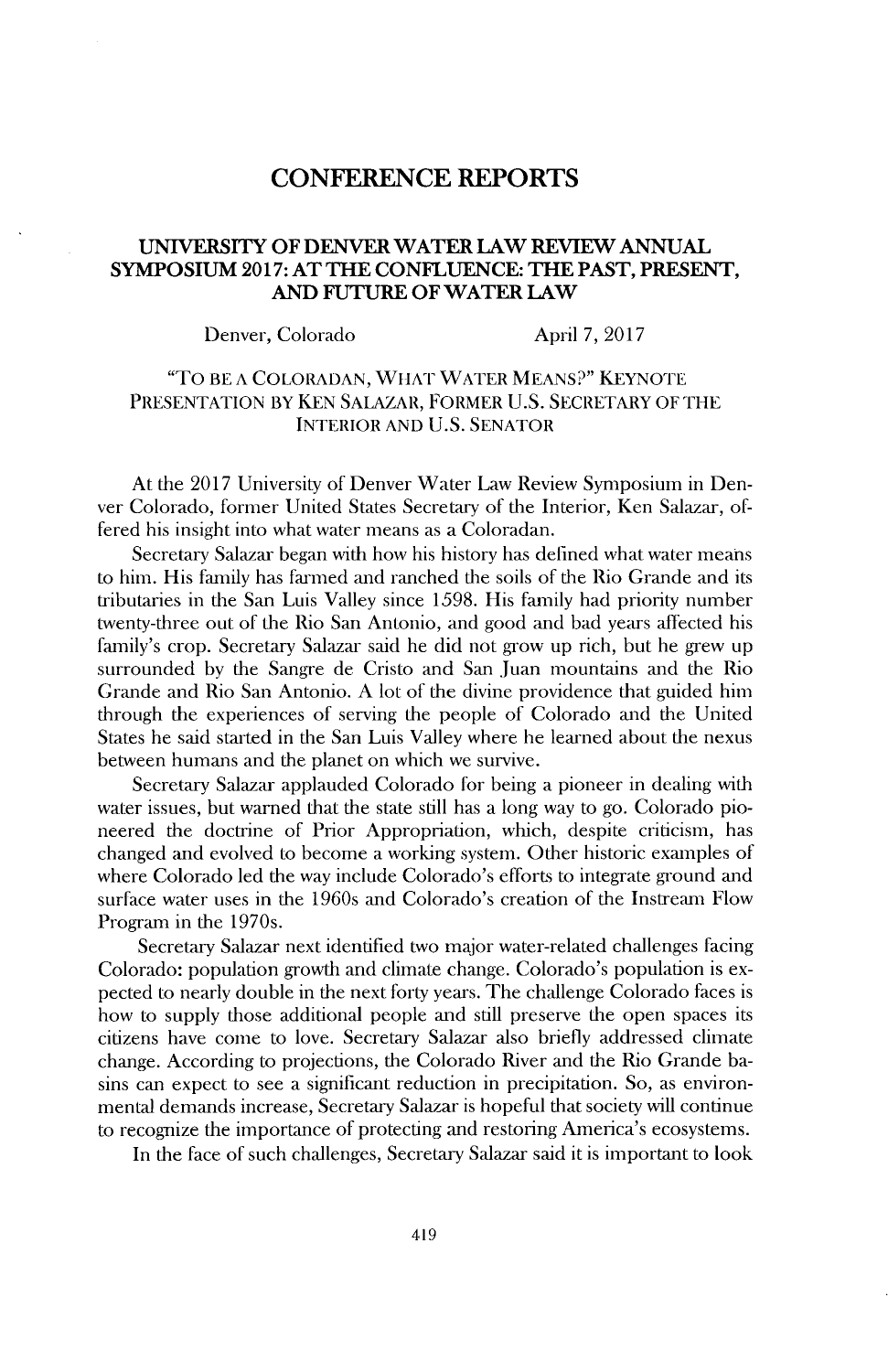# **CONFERENCE REPORTS**

#### **UNIVERSITY OF DENVER WATER LAW REVIEW ANNUAL SYMPOSIUM 2017: AT THE CONFLUENCE: THE PAST, PRESENT, AND FUTURE OF WATER LAW**

Denver, Colorado April **7, 2017**

### "To BE **A COLORADAN,** WHAT WATER **MEANS?" KEYNOTE PRESENTATION** BY **KEN SALAZAR,** FORMER **U.S.** SECRETARY OF THE INTERIOR **AND U.S. SENATOR**

At the **2017** University of Denver Water Law Review Symposium in Denver Colorado, former United States Secretary of the Interior, Ken Salazar, offered his insight into what water means as a Coloradan.

Secretary Salazar began with how his history has defined what water means to him. His family has farmed and ranched the soils of the Rio Grande and its tributaries in the San Luis Valley since *1598.* His family had priority number twenty-three out of the Rio San Antonio, and good and bad years affected his family's crop. Secretary Salazar said he **did** not grow up rich, but he grew up surrounded **by** the Sangre de Cristo and San Juan mountains and the Rio Grande and Rio San Antonio. **A** lot of the divine providence that guided him through the experiences of serving the people of Colorado and the United States he said started in the San Luis Valley where he learned about the nexus between humans and the planet on which we survive.

Secretary Salazar applauded Colorado for being a pioneer in dealing with water issues, but warned that the state still has a long way to go. Colorado **pio**neered the doctrine of Prior Appropriation, which, despite criticism, has changed and evolved to become a working system. Other historic examples of where Colorado led the way include Colorado's efforts to integrate ground and surface water uses in the 1960s and Colorado's creation of the Instrean Flow Program in the 1970s.

Secretary Salazar next identified two major water-related challenges facing Colorado: population growth and climate change. Colorado's population is expected to nearly double in the next forty years. The challenge Colorado faces **is** how to supply those additional people and still preserve the open spaces its citizens have come to love. Secretary Salazar also briefly addressed climate change. According to projections, the Colorado River and the Rio Grande basins can expect to see a significant reduction in precipitation. So, as environmental demands increase, Secretary Salazar is hopeful that society will continue to recognize the importance of protecting and restoring America's ecosystems.

In the face of such challenges, Secretary Salazar said it is important to look